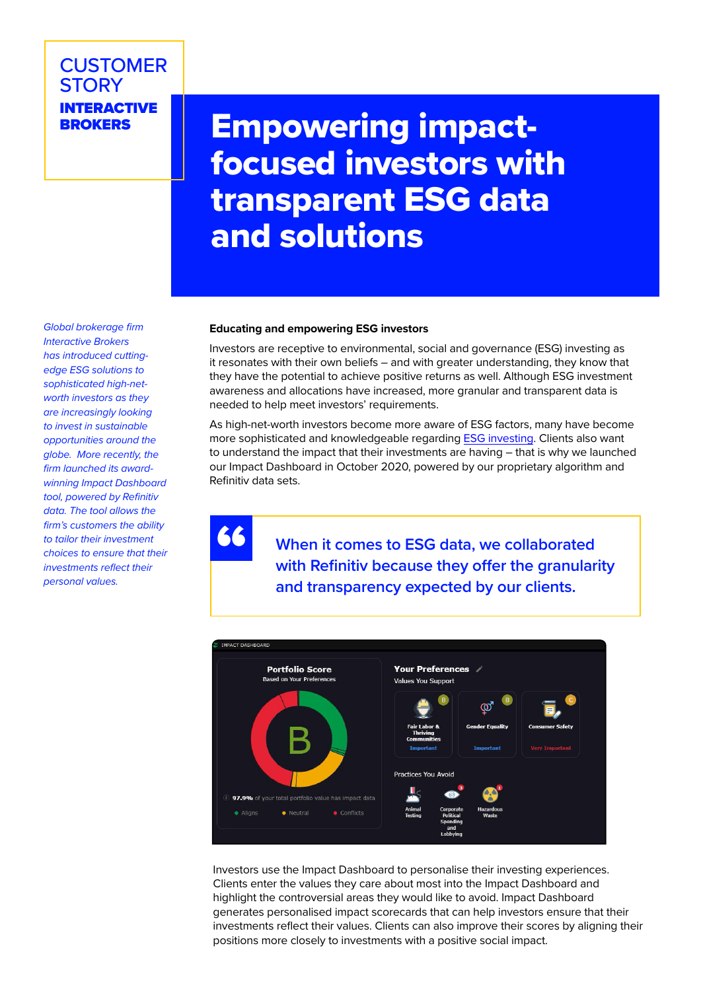# **CUSTOMER STORY INTERACTIVE**<br>BROKERS

# **Empowering impact**focused investors with transparent ESG data and solutions

*Global brokerage firm Interactive Brokers has introduced cuttingedge ESG solutions to sophisticated high-networth investors as they are increasingly looking to invest in sustainable opportunities around the globe. More recently, the firm launched its awardwinning Impact Dashboard tool, powered by Refinitiv data. The tool allows the firm's customers the ability to tailor their investment choices to ensure that their investments reflect their personal values.*

## **Educating and empowering ESG investors**

Investors are receptive to environmental, social and governance (ESG) investing as it resonates with their own beliefs – and with greater understanding, they know that they have the potential to achieve positive returns as well. Although ESG investment awareness and allocations have increased, more granular and transparent data is needed to help meet investors' requirements.

As high-net-worth investors become more aware of ESG factors, many have become more sophisticated and knowledgeable regarding [ESG investing](https://www.refinitiv.com/en/wealth-management-solutions/esg-wealth-management). Clients also want to understand the impact that their investments are having – that is why we launched our Impact Dashboard in October 2020, powered by our proprietary algorithm and Refinitiv data sets.

"

**When it comes to ESG data, we collaborated with Refinitiv because they offer the granularity and transparency expected by our clients.**



Investors use the Impact Dashboard to personalise their investing experiences. Clients enter the values they care about most into the Impact Dashboard and highlight the controversial areas they would like to avoid. Impact Dashboard generates personalised impact scorecards that can help investors ensure that their investments reflect their values. Clients can also improve their scores by aligning their positions more closely to investments with a positive social impact.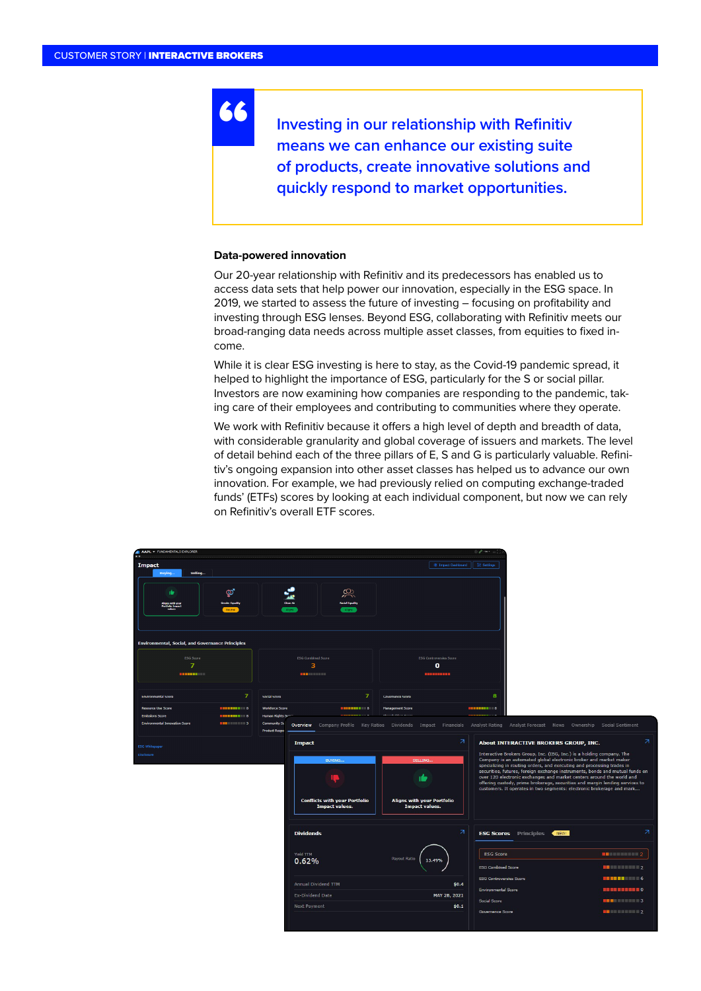**Investing in our relationship with Refinitiv means we can enhance our existing suite of products, create innovative solutions and quickly respond to market opportunities.**

#### **Data-powered innovation**

"

Our 20-year relationship with Refinitiv and its predecessors has enabled us to access data sets that help power our innovation, especially in the ESG space. In 2019, we started to assess the future of investing – focusing on profitability and investing through ESG lenses. Beyond ESG, collaborating with Refinitiv meets our broad-ranging data needs across multiple asset classes, from equities to fixed income.

While it is clear ESG investing is here to stay, as the Covid-19 pandemic spread, it helped to highlight the importance of ESG, particularly for the S or social pillar. Investors are now examining how companies are responding to the pandemic, taking care of their employees and contributing to communities where they operate.

We work with Refinitiv because it offers a high level of depth and breadth of data, with considerable granularity and global coverage of issuers and markets. The level of detail behind each of the three pillars of E, S and G is particularly valuable. Refinitiv's ongoing expansion into other asset classes has helped us to advance our own innovation. For example, we had previously relied on computing exchange-traded funds' (ETFs) scores by looking at each individual component, but now we can rely on Refinitiv's overall ETF scores.